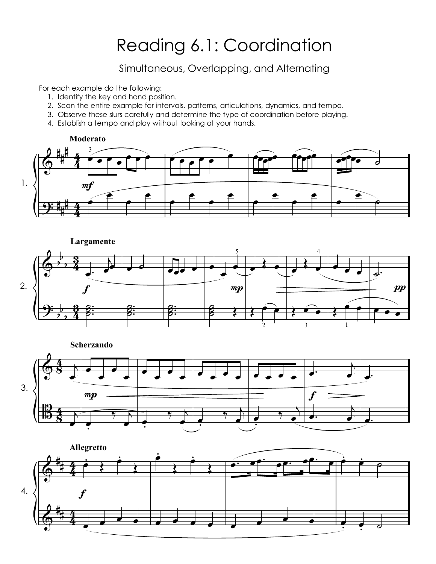## Reading 6.1: Coordination

Simultaneous, Overlapping, and Alternating

For each example do the following:

- 1. Identify the key and hand position.
- 2. Scan the entire example for intervals, patterns, articulations, dynamics, and tempo.
- 3. Observe these slurs carefully and determine the type of coordination before playing.
- 4. Establish a tempo and play without looking at your hands.